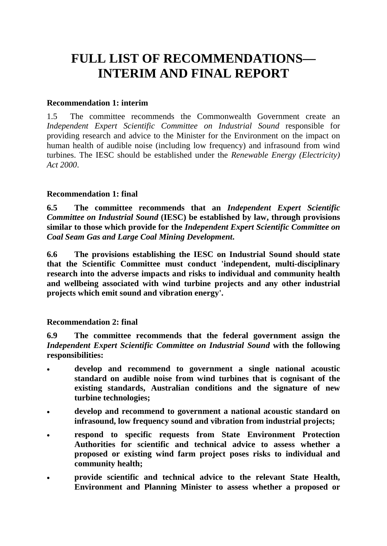# **FULL LIST OF RECOMMENDATIONS— INTERIM AND FINAL REPORT**

## **Recommendation 1: interim**

1.5 The committee recommends the Commonwealth Government create an *Independent Expert Scientific Committee on Industrial Sound* responsible for providing research and advice to the Minister for the Environment on the impact on human health of audible noise (including low frequency) and infrasound from wind turbines. The IESC should be established under the *Renewable Energy (Electricity) Act 2000*.

# **Recommendation 1: final**

**6.5 The committee recommends that an** *Independent Expert Scientific Committee on Industrial Sound* **(IESC) be established by law, through provisions similar to those which provide for the** *Independent Expert Scientific Committee on Coal Seam Gas and Large Coal Mining Development***.** 

**6.6 The provisions establishing the IESC on Industrial Sound should state that the Scientific Committee must conduct 'independent, multi-disciplinary research into the adverse impacts and risks to individual and community health and wellbeing associated with wind turbine projects and any other industrial projects which emit sound and vibration energy'.**

# **Recommendation 2: final**

**6.9 The committee recommends that the federal government assign the**  *Independent Expert Scientific Committee on Industrial Sound* **with the following responsibilities:** 

- **develop and recommend to government a single national acoustic standard on audible noise from wind turbines that is cognisant of the existing standards, Australian conditions and the signature of new turbine technologies;**
- **develop and recommend to government a national acoustic standard on infrasound, low frequency sound and vibration from industrial projects;**
- **respond to specific requests from State Environment Protection Authorities for scientific and technical advice to assess whether a proposed or existing wind farm project poses risks to individual and community health;**
- **provide scientific and technical advice to the relevant State Health, Environment and Planning Minister to assess whether a proposed or**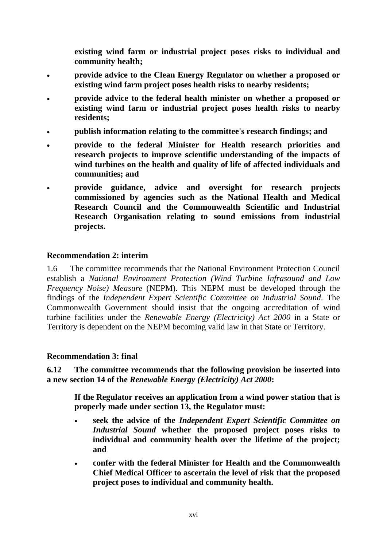**existing wind farm or industrial project poses risks to individual and community health;** 

- **provide advice to the Clean Energy Regulator on whether a proposed or existing wind farm project poses health risks to nearby residents;**
- **provide advice to the federal health minister on whether a proposed or existing wind farm or industrial project poses health risks to nearby residents;**
- **publish information relating to the committee's research findings; and**
- **provide to the federal Minister for Health research priorities and research projects to improve scientific understanding of the impacts of wind turbines on the health and quality of life of affected individuals and communities; and**
- **provide guidance, advice and oversight for research projects commissioned by agencies such as the National Health and Medical Research Council and the Commonwealth Scientific and Industrial Research Organisation relating to sound emissions from industrial projects.**

## **Recommendation 2: interim**

1.6 The committee recommends that the National Environment Protection Council establish a *National Environment Protection (Wind Turbine Infrasound and Low Frequency Noise) Measure* (NEPM). This NEPM must be developed through the findings of the *Independent Expert Scientific Committee on Industrial Sound*. The Commonwealth Government should insist that the ongoing accreditation of wind turbine facilities under the *Renewable Energy (Electricity) Act 2000* in a State or Territory is dependent on the NEPM becoming valid law in that State or Territory.

#### **Recommendation 3: final**

**6.12 The committee recommends that the following provision be inserted into a new section 14 of the** *Renewable Energy (Electricity) Act 2000***:** 

**If the Regulator receives an application from a wind power station that is properly made under section 13, the Regulator must:** 

- **seek the advice of the** *Independent Expert Scientific Committee on Industrial Sound* **whether the proposed project poses risks to individual and community health over the lifetime of the project; and**
- **confer with the federal Minister for Health and the Commonwealth Chief Medical Officer to ascertain the level of risk that the proposed project poses to individual and community health.**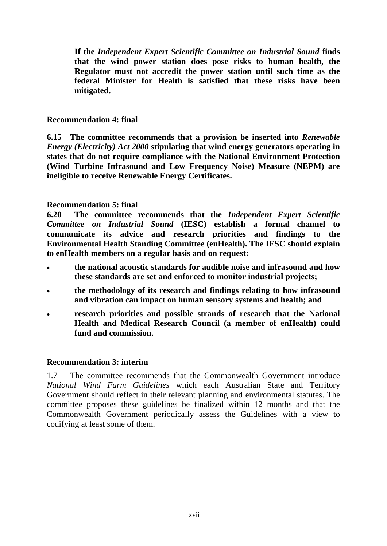**If the** *Independent Expert Scientific Committee on Industrial Sound* **finds that the wind power station does pose risks to human health, the Regulator must not accredit the power station until such time as the federal Minister for Health is satisfied that these risks have been mitigated.** 

## **Recommendation 4: final**

**6.15 The committee recommends that a provision be inserted into** *Renewable Energy (Electricity) Act 2000* **stipulating that wind energy generators operating in states that do not require compliance with the National Environment Protection (Wind Turbine Infrasound and Low Frequency Noise) Measure (NEPM) are ineligible to receive Renewable Energy Certificates.** 

## **Recommendation 5: final**

**6.20 The committee recommends that the** *Independent Expert Scientific Committee on Industrial Sound* **(IESC) establish a formal channel to communicate its advice and research priorities and findings to the Environmental Health Standing Committee (enHealth). The IESC should explain to enHealth members on a regular basis and on request:** 

- **the national acoustic standards for audible noise and infrasound and how these standards are set and enforced to monitor industrial projects;**
- **the methodology of its research and findings relating to how infrasound and vibration can impact on human sensory systems and health; and**
- **research priorities and possible strands of research that the National Health and Medical Research Council (a member of enHealth) could fund and commission.**

#### **Recommendation 3: interim**

1.7 The committee recommends that the Commonwealth Government introduce *National Wind Farm Guidelines* which each Australian State and Territory Government should reflect in their relevant planning and environmental statutes. The committee proposes these guidelines be finalized within 12 months and that the Commonwealth Government periodically assess the Guidelines with a view to codifying at least some of them.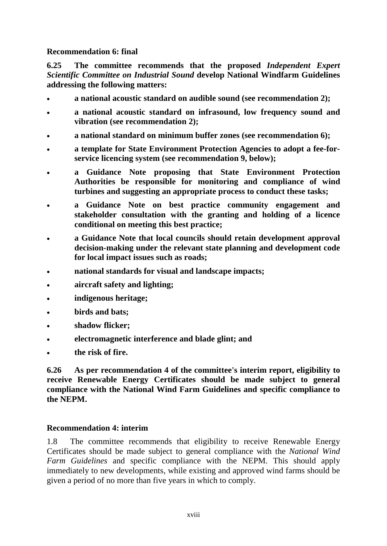# **Recommendation 6: final**

**6.25 The committee recommends that the proposed** *Independent Expert Scientific Committee on Industrial Sound* **develop National Windfarm Guidelines addressing the following matters:** 

- **a national acoustic standard on audible sound (see recommendation 2);**
- **a national acoustic standard on infrasound, low frequency sound and vibration (see recommendation 2);**
- **a national standard on minimum buffer zones (see recommendation 6);**
- **a template for State Environment Protection Agencies to adopt a fee-forservice licencing system (see recommendation 9, below);**
- **a Guidance Note proposing that State Environment Protection Authorities be responsible for monitoring and compliance of wind turbines and suggesting an appropriate process to conduct these tasks;**
- **a Guidance Note on best practice community engagement and stakeholder consultation with the granting and holding of a licence conditional on meeting this best practice;**
- **a Guidance Note that local councils should retain development approval decision-making under the relevant state planning and development code for local impact issues such as roads;**
- **national standards for visual and landscape impacts;**
- **aircraft safety and lighting;**
- **indigenous heritage;**
- **birds and bats;**
- **shadow flicker;**
- **electromagnetic interference and blade glint; and**
- **the risk of fire.**

**6.26 As per recommendation 4 of the committee's interim report, eligibility to receive Renewable Energy Certificates should be made subject to general compliance with the National Wind Farm Guidelines and specific compliance to the NEPM.** 

# **Recommendation 4: interim**

1.8 The committee recommends that eligibility to receive Renewable Energy Certificates should be made subject to general compliance with the *National Wind Farm Guidelines* and specific compliance with the NEPM. This should apply immediately to new developments, while existing and approved wind farms should be given a period of no more than five years in which to comply.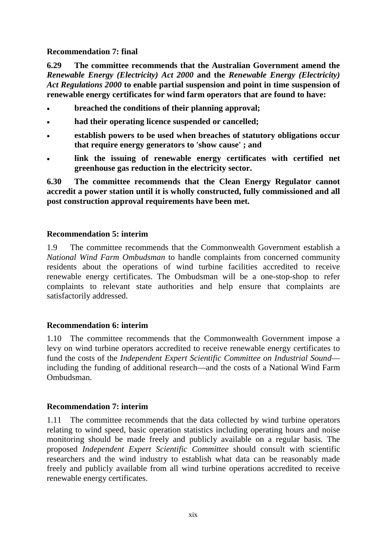# **Recommendation 7: final**

**6.29 The committee recommends that the Australian Government amend the**  *Renewable Energy (Electricity) Act 2000* **and the** *Renewable Energy (Electricity) Act Regulations 2000* **to enable partial suspension and point in time suspension of renewable energy certificates for wind farm operators that are found to have:** 

- **breached the conditions of their planning approval;**
- **had their operating licence suspended or cancelled;**
- **establish powers to be used when breaches of statutory obligations occur that require energy generators to 'show cause' ; and**
- **link the issuing of renewable energy certificates with certified net greenhouse gas reduction in the electricity sector.**

**6.30 The committee recommends that the Clean Energy Regulator cannot accredit a power station until it is wholly constructed, fully commissioned and all post construction approval requirements have been met.** 

# **Recommendation 5: interim**

1.9 The committee recommends that the Commonwealth Government establish a *National Wind Farm Ombudsman* to handle complaints from concerned community residents about the operations of wind turbine facilities accredited to receive renewable energy certificates. The Ombudsman will be a one-stop-shop to refer complaints to relevant state authorities and help ensure that complaints are satisfactorily addressed.

# **Recommendation 6: interim**

1.10 The committee recommends that the Commonwealth Government impose a levy on wind turbine operators accredited to receive renewable energy certificates to fund the costs of the *Independent Expert Scientific Committee on Industrial Sound* including the funding of additional research—and the costs of a National Wind Farm Ombudsman.

#### **Recommendation 7: interim**

1.11 The committee recommends that the data collected by wind turbine operators relating to wind speed, basic operation statistics including operating hours and noise monitoring should be made freely and publicly available on a regular basis. The proposed *Independent Expert Scientific Committee* should consult with scientific researchers and the wind industry to establish what data can be reasonably made freely and publicly available from all wind turbine operations accredited to receive renewable energy certificates.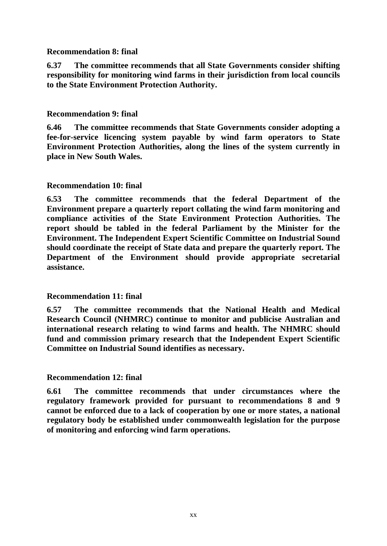## **Recommendation 8: final**

**6.37 The committee recommends that all State Governments consider shifting responsibility for monitoring wind farms in their jurisdiction from local councils to the State Environment Protection Authority.**

## **Recommendation 9: final**

**6.46 The committee recommends that State Governments consider adopting a fee-for-service licencing system payable by wind farm operators to State Environment Protection Authorities, along the lines of the system currently in place in New South Wales.** 

## **Recommendation 10: final**

**6.53 The committee recommends that the federal Department of the Environment prepare a quarterly report collating the wind farm monitoring and compliance activities of the State Environment Protection Authorities. The report should be tabled in the federal Parliament by the Minister for the Environment. The Independent Expert Scientific Committee on Industrial Sound should coordinate the receipt of State data and prepare the quarterly report. The Department of the Environment should provide appropriate secretarial assistance.**

#### **Recommendation 11: final**

**6.57 The committee recommends that the National Health and Medical Research Council (NHMRC) continue to monitor and publicise Australian and international research relating to wind farms and health. The NHMRC should fund and commission primary research that the Independent Expert Scientific Committee on Industrial Sound identifies as necessary.**

#### **Recommendation 12: final**

**6.61 The committee recommends that under circumstances where the regulatory framework provided for pursuant to recommendations 8 and 9 cannot be enforced due to a lack of cooperation by one or more states, a national regulatory body be established under commonwealth legislation for the purpose of monitoring and enforcing wind farm operations.**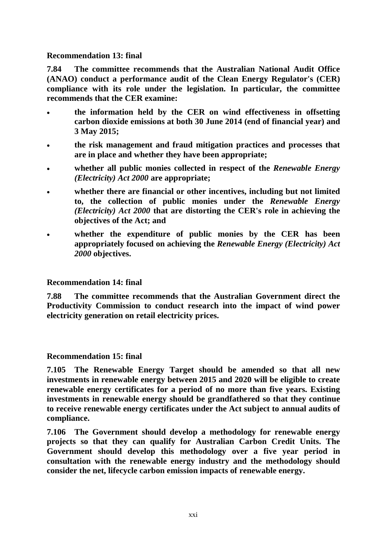#### **Recommendation 13: final**

**7.84 The committee recommends that the Australian National Audit Office (ANAO) conduct a performance audit of the Clean Energy Regulator's (CER) compliance with its role under the legislation. In particular, the committee recommends that the CER examine:** 

- **the information held by the CER on wind effectiveness in offsetting carbon dioxide emissions at both 30 June 2014 (end of financial year) and 3 May 2015;**
- **the risk management and fraud mitigation practices and processes that are in place and whether they have been appropriate;**
- **whether all public monies collected in respect of the** *Renewable Energy (Electricity) Act 2000* **are appropriate;**
- **whether there are financial or other incentives, including but not limited to, the collection of public monies under the** *Renewable Energy (Electricity) Act 2000* **that are distorting the CER's role in achieving the objectives of the Act; and**
- whether the expenditure of public monies by the CER has been **appropriately focused on achieving the** *Renewable Energy (Electricity) Act 2000* **objectives.**

# **Recommendation 14: final**

**7.88 The committee recommends that the Australian Government direct the Productivity Commission to conduct research into the impact of wind power electricity generation on retail electricity prices.** 

# **Recommendation 15: final**

**7.105 The Renewable Energy Target should be amended so that all new investments in renewable energy between 2015 and 2020 will be eligible to create renewable energy certificates for a period of no more than five years. Existing investments in renewable energy should be grandfathered so that they continue to receive renewable energy certificates under the Act subject to annual audits of compliance.** 

**7.106 The Government should develop a methodology for renewable energy projects so that they can qualify for Australian Carbon Credit Units. The Government should develop this methodology over a five year period in consultation with the renewable energy industry and the methodology should consider the net, lifecycle carbon emission impacts of renewable energy.**